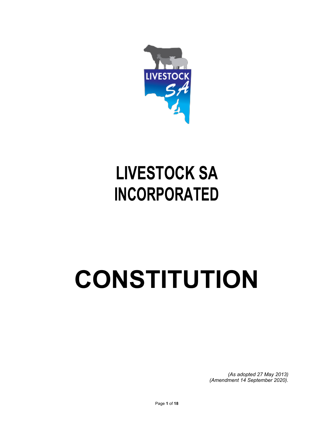

# **LIVESTOCK SA INCORPORATED**

# **CONSTITUTION**

*(As adopted 27 May 2013) (Amendment 14 September 2020).*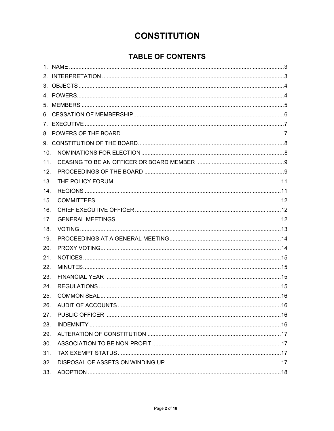# **CONSTITUTION**

# **TABLE OF CONTENTS**

| 10. |  |
|-----|--|
| 11. |  |
| 12. |  |
| 13. |  |
| 14. |  |
| 15. |  |
| 16. |  |
| 17. |  |
| 18. |  |
| 19. |  |
| 20. |  |
| 21. |  |
| 22. |  |
| 23. |  |
| 24. |  |
| 25. |  |
| 26. |  |
| 27. |  |
| 28. |  |
| 29. |  |
| 30. |  |
| 31. |  |
| 32. |  |
| 33. |  |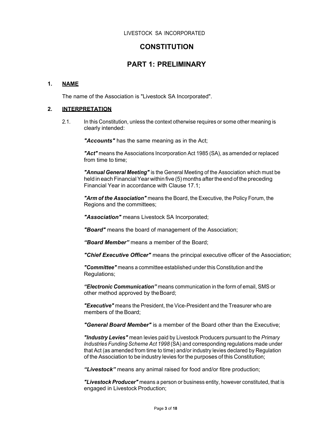#### **CONSTITUTION**

### **PART 1: PRELIMINARY**

#### **1. NAME**

The name of the Association is "Livestock SA Incorporated".

#### **2. INTERPRETATION**

2.1. In this Constitution, unless the context otherwise requires or some other meaning is clearly intended:

*"Accounts"* has the same meaning as in the Act;

*"Act"* means the Associations Incorporation Act 1985 (SA), as amended or replaced from time to time;

*"Annual General Meeting"* is the General Meeting of the Association which must be held in each Financial Year within five (5) months after the end of the preceding Financial Year in accordance with Clause 17.1;

*"Arm of the Association"* means the Board, the Executive, the Policy Forum, the Regions and the committees;

*"Association"* means Livestock SA Incorporated;

*"Board"* means the board of management of the Association;

*"Board Member"* means a member of the Board;

*"Chief Executive Officer"* means the principal executive officer of the Association;

*"Committee"* means a committee established under this Constitution and the Regulations;

*"Electronic Communication"* means communication in the form of email, SMS or other method approved by the Board;

*"Executive"* means the President, the Vice-President and the Treasurer who are members of the Board;

*"General Board Member"* is a member of the Board other than the Executive;

*"Industry Levies"* mean levies paid by Livestock Producers pursuant to the *Primary Industries Funding Scheme Act 1998* (SA) and corresponding regulations made under that Act (as amended from time to time) and/or industry levies declared by Regulation of the Association to be industry levies for the purposes of this Constitution;

*"Livestock"* means any animal raised for food and/or fibre production;

*"Livestock Producer"* means a person or business entity, however constituted, that is engaged in Livestock Production;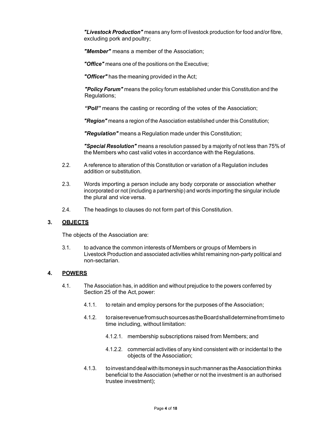*"Livestock Production"* means any form of livestock production for food and/or fibre, excluding pork and poultry;

*"Member"* means a member of the Association;

*"Office"* means one of the positions on the Executive;

*"Officer"* has the meaning provided in the Act;

*"Policy Forum"* means the policy forum established under this Constitution and the Regulations;

*"Poll"* means the casting or recording of the votes of the Association;

*"Region"* means a region of the Association established under this Constitution;

*"Regulation"* means a Regulation made under this Constitution;

*"Special Resolution"* means a resolution passed by a majority of not less than 75% of the Members who cast valid votes in accordance with the Regulations.

- 2.2. A reference to alteration of this Constitution or variation of a Regulation includes addition or substitution.
- 2.3. Words importing a person include any body corporate or association whether incorporated or not (including a partnership) and words importing the singular include the plural and vice versa.
- 2.4. The headings to clauses do not form part of this Constitution.

#### **3. OBJECTS**

The objects of the Association are:

3.1. to advance the common interests of Members or groups of Members in Livestock Production and associated activities whilst remaining non-party political and non-sectarian.

#### **4. POWERS**

- 4.1. The Association has, in addition and without prejudice to the powers conferred by Section 25 of the Act, power:
	- 4.1.1. to retain and employ persons for the purposes of the Association;
	- 4.1.2. to raise revenue from such sources as the Board shall determine from time to time including, without limitation:
		- 4.1.2.1. membership subscriptions raised from Members; and
		- 4.1.2.2. commercial activities of any kind consistent with or incidental to the objects of the Association;
	- 4.1.3. to invest and deal with its moneys in such manner as the Association thinks beneficial to the Association (whether or not the investment is an authorised trustee investment);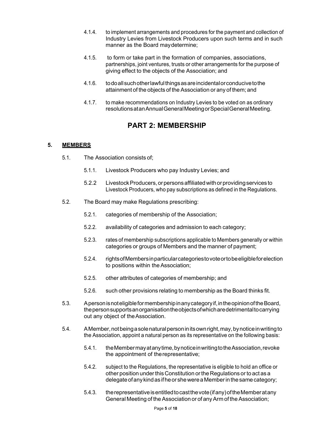- 4.1.4. to implement arrangements and procedures for the payment and collection of Industry Levies from Livestock Producers upon such terms and in such manner as the Board may determine;
- 4.1.5. to form or take part in the formation of companies, associations, partnerships, joint ventures, trusts or other arrangements for the purpose of giving effect to the objects of the Association; and
- 4.1.6. to do all such other lawful things as are incidental or conducive to the attainment of the objects of the Association or any of them; and
- 4.1.7. to make recommendations on Industry Levies to be voted on as ordinary resolutions at an Annual General Meeting or Special General Meeting.

# **PART 2: MEMBERSHIP**

#### **5. MEMBERS**

- 5.1. The Association consists of;
	- 5.1.1. Livestock Producers who pay Industry Levies; and
	- 5.2.2 Livestock Producers, or persons affiliated with or providing services to Livestock Producers, who pay subscriptions as defined in the Regulations.
- 5.2. The Board may make Regulations prescribing:
	- 5.2.1. categories of membership of the Association;
	- 5.2.2. availability of categories and admission to each category;
	- 5.2.3. rates of membership subscriptions applicable to Members generally or within categories or groups of Members and the manner of payment;
	- 5.2.4. rights of Members in particular categories to vote or to be eligible for election to positions within the Association;
	- 5.2.5. other attributes of categories of membership; and
	- 5.2.6. such other provisions relating to membership as the Board thinks fit.
- 5.3. A person is not eligible for membership in any category if, in the opinion of the Board, the person supports an organisation the objects of which are detrimental to carrying out any object of the Association.
- 5.4. A Member, not being a sole natural person in its own right, may, by notice in writing to the Association, appoint a natural person as its representative on the following basis:
	- 5.4.1. the Member may at any time, by notice in writing to the Association, revoke the appointment of the representative;
	- 5.4.2. subject to the Regulations, the representative is eligible to hold an office or other position under this Constitution or the Regulations or to act as a delegate of any kind as if he or she were a Member in the same category;
	- 5.4.3. the representative is entitled to cast the vote (if any) of the Member at any General Meeting of the Association or of any Arm of the Association;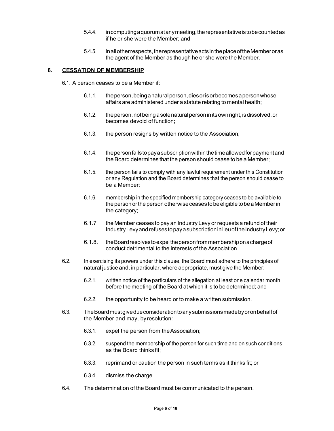- 5.4.4. in computing a quorum at any meeting, the representative is to be counted as if he or she were the Member; and
- 5.4.5. in all other respects, the representative acts in the place of the Member or as the agent of the Member as though he or she were the Member.

#### **6. CESSATION OF MEMBERSHIP**

6.1. A person ceases to be a Member if:

- 6.1.1. the person, being a natural person, dies or is or becomes a person whose affairs are administered under a statute relating to mental health;
- 6.1.2. the person, not being a sole natural person in its own right, is dissolved, or becomes devoid of function;
- 6.1.3. the person resigns by written notice to the Association;
- 6.1.4. the person fails to pay a subscription within the time allowed for payment and the Board determines that the person should cease to be a Member;
- 6.1.5. the person fails to comply with any lawful requirement under this Constitution or any Regulation and the Board determines that the person should cease to be a Member;
- 6.1.6. membership in the specified membership category ceases to be available to the person or the person otherwise ceases to be eligible to be a Member in the category;
- 6.1.7 the Member ceases to pay an Industry Levy or requests a refund of their Industry Levy and refuses to pay a subscription in lieu of the Industry Levy; or
- 6.1.8. the Board resolves to expel the person from membership on a charge of conduct detrimental to the interests of the Association.
- 6.2. In exercising its powers under this clause, the Board must adhere to the principles of natural justice and, in particular, where appropriate, must give the Member:
	- 6.2.1. written notice of the particulars of the allegation at least one calendar month before the meeting of the Board at which it is to be determined; and
	- 6.2.2. the opportunity to be heard or to make a written submission.
- 6.3. The Board must give due consideration to any submissions made by or on behalf of the Member and may, by resolution:
	- 6.3.1. expel the person from the Association;
	- 6.3.2. suspend the membership of the person for such time and on such conditions as the Board thinks fit;
	- 6.3.3. reprimand or caution the person in such terms as it thinks fit; or
	- 6.3.4. dismiss the charge.
- 6.4. The determination of the Board must be communicated to the person.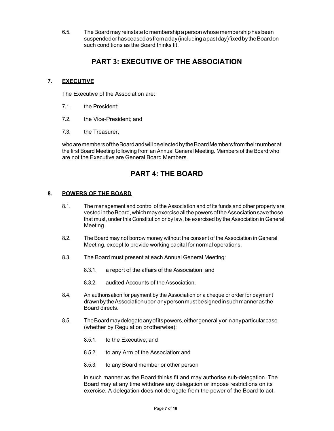6.5. The Board may reinstate to membership a person whose membership has been suspended or has ceased as from a day (including a past day) fixed by the Board on such conditions as the Board thinks fit.

# **PART 3: EXECUTIVE OF THE ASSOCIATION**

#### **7. EXECUTIVE**

The Executive of the Association are:

- 7.1. the President;
- 7.2. the Vice-President; and
- 7.3. the Treasurer,

who are members of the Board and will be elected by the Board Members from their number at the first Board Meeting following from an Annual General Meeting. Members of the Board who are not the Executive are General Board Members.

## **PART 4: THE BOARD**

#### **8. POWERS OF THE BOARD**

- 8.1. The management and control of the Association and of its funds and other property are vested in the Board, which may exercise all the powers of the Association save those that must, under this Constitution or by law, be exercised by the Association in General Meeting.
- 8.2. The Board may not borrow money without the consent of the Association in General Meeting, except to provide working capital for normal operations.
- 8.3. The Board must present at each Annual General Meeting:
	- 8.3.1. a report of the affairs of the Association; and
	- 8.3.2. audited Accounts of the Association.
- 8.4. An authorisation for payment by the Association or a cheque or order for payment drawn by the Association upon any person must be signed in such manner as the Board directs.
- 8.5. The Board may delegate any of its powers, either generally or in any particular case (whether by Regulation or otherwise):
	- 8.5.1. to the Executive; and
	- 8.5.2. to any Arm of the Association; and
	- 8.5.3. to any Board member or other person

in such manner as the Board thinks fit and may authorise sub-delegation. The Board may at any time withdraw any delegation or impose restrictions on its exercise. A delegation does not derogate from the power of the Board to act.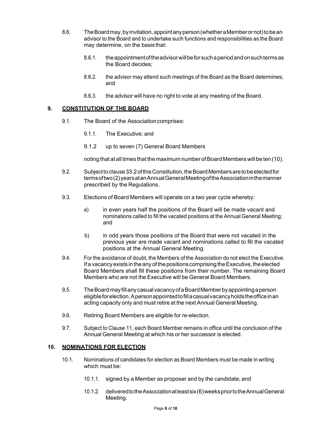- 8.6. The Board may, by invitation, appoint any person (whether a Member or not) to be an advisor to the Board and to undertake such functions and responsibilities as the Board may determine, on the basis that:
	- 8.6.1. the appointment of the advisor will be for such a period and on such terms as the Board decides;
	- 8.6.2. the advisor may attend such meetings of the Board as the Board determines; and
	- 8.6.3. the advisor will have no right to vote at any meeting of the Board.

#### **9. CONSTITUTION OF THE BOARD**

- 9.1. The Board of the Association comprises:
	- 9.1.1. The Executive; and
	- 9.1.2 up to seven (7) General Board Members

noting that at all times that the maximum number of Board Members will be ten (10).

- 9.2. Subject to clause 33.2 of this Constitution, the Board Members are to be elected for terms of two (2) years at an Annual General Meeting of the Association in the manner prescribed by the Regulations.
- 9.3. Elections of Board Members will operate on a two year cycle whereby:
	- a) in even years half the positions of the Board will be made vacant and nominations called to fill the vacated positions at the Annual General Meeting; and
	- b) in odd years those positions of the Board that were not vacated in the previous year are made vacant and nominations called to fill the vacated positions at the Annual General Meeting.
- 9.4. For the avoidance of doubt, the Members of the Association do not elect the Executive. If a vacancy exists in the any of the positions comprising the Executive, the elected Board Members shall fill these positions from their number. The remaining Board Members who are not the Executive will be General Board Members.
- 9.5. The Board may fill any casual vacancy of a Board Member by appointing a person eligible for election. A person appointed to fill a casual vacancy holds the office in an acting capacity only and must retire at the next Annual General Meeting.
- 9.6. Retiring Board Members are eligible for re-election.
- 9.7. Subject to Clause 11, each Board Member remains in office until the conclusion of the Annual General Meeting at which his or her successor is elected.

#### **10. NOMINATIONS FOR ELECTION**

- 10.1. Nominations of candidates for election as Board Members must be made in writing which must be:
	- 10.1.1. signed by a Member as proposer and by the candidate; and
	- 10.1.2. delivered to the Association at least six (6) weeks prior to the Annual General Meeting.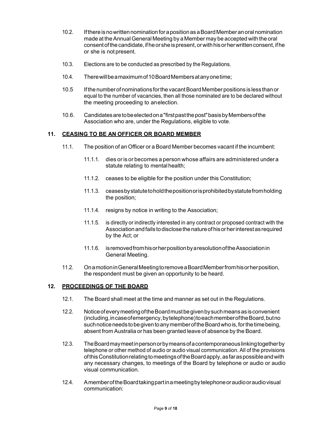- 10.2. If there is no written nomination for a position as a Board Member an oral nomination made at the Annual General Meeting by a Member may be accepted with the oral consent of the candidate, if he or she is present, or with his or her written consent, if he or she is not present.
- 10.3. Elections are to be conducted as prescribed by the Regulations.
- 10.4. There will be a maximum of 10 Board Members at any one time;
- 10.5 If the number of nominations for the vacant Board Member positions is less than or equal to the number of vacancies, then all those nominated are to be declared without the meeting proceeding to an election.
- 10.6. Candidates are to be elected on a "first past the post" basis by Members of the Association who are, under the Regulations, eligible to vote.

#### **11. CEASING TO BE AN OFFICER OR BOARD MEMBER**

- 11.1. The position of an Officer or a Board Member becomes vacant if the incumbent:
	- 11.1.1. dies or is or becomes a person whose affairs are administered under a statute relating to mental health;
	- 11.1.2. ceases to be eligible for the position under this Constitution;
	- 11.1.3. ceases by statute to hold the position or is prohibited by statute from holding the position;
	- 11.1.4. resigns by notice in writing to the Association;
	- 11.1.5. is directly or indirectly interested in any contract or proposed contract with the Association and fails to disclose the nature of his or her interest as required by the Act; or
	- 11.1.6. is removed from his or her position by a resolution of the Association in General Meeting.
- 11.2. On a motion in General Meeting to remove a Board Member from his or her position, the respondent must be given an opportunity to be heard.

#### **12. PROCEEDINGS OF THE BOARD**

- 12.1. The Board shall meet at the time and manner as set out in the Regulations.
- 12.2. Notice of every meeting of the Board must be given by such means as is convenient (including, in case of emergency, by telephone) to each member of the Board, but no such notice needs to be given to any member of the Board who is, for the time being, absent from Australia or has been granted leave of absence by the Board.
- 12.3. The Board may meet in person or by means of a contemporaneous linking together by telephone or other method of audio or audio visual communication. All of the provisions of this Constitution relating to meetings of the Board apply, as far as possible and with any necessary changes, to meetings of the Board by telephone or audio or audio visual communication.
- 12.4. A member of the Board taking part in a meeting by telephone or audio or audio visual communication: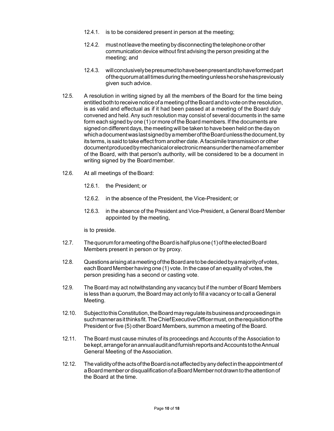- 12.4.1. is to be considered present in person at the meeting;
- 12.4.2. must not leave the meeting by disconnecting the telephone or other communication device without first advising the person presiding at the meeting; and
- 12.4.3. will conclusively be presumed to have been present and to have formed part of the quorum at all times during the meeting unless he or she has previously given such advice.
- 12.5. A resolution in writing signed by all the members of the Board for the time being entitled both to receive notice of a meeting of the Board and to vote on the resolution, is as valid and effectual as if it had been passed at a meeting of the Board duly convened and held. Any such resolution may consist of several documents in the same form each signed by one (1) or more of the Board members. If the documents are signed on different days, the meeting will be taken to have been held on the day on which a document was last signed by a member of the Board unless the document, by its terms, is said to take effect from another date. A facsimile transmission or other document produced by mechanical or electronic means under the name of a member of the Board, with that person's authority, will be considered to be a document in writing signed by the Board member.
- 12.6. At all meetings of the Board:
	- 12.6.1. the President; or
	- 12.6.2. in the absence of the President, the Vice-President; or
	- 12.6.3. in the absence of the President and Vice-President, a General Board Member appointed by the meeting,

is to preside.

- 12.7. The quorum for a meeting of the Board is half plus one (1) of the elected Board Members present in person or by proxy.
- 12.8. Questions arising at a meeting of the Board are to be decided by a majority of votes, each Board Member having one (1) vote. In the case of an equality of votes, the person presiding has a second or casting vote.
- 12.9. The Board may act notwithstanding any vacancy but if the number of Board Members is less than a quorum, the Board may act only to fill a vacancy or to call a General Meeting.
- 12.10. Subject to this Constitution, the Board may regulate its business and proceedings in such manner as it thinks fit. The Chief Executive Officer must, on the requisition of the President or five (5) other Board Members, summon a meeting of the Board.
- 12.11. The Board must cause minutes of its proceedings and Accounts of the Association to be kept, arrange for an annual audit and furnish reports and Accounts to the Annual General Meeting of the Association.
- 12.12. The validity of the acts of the Board is not affected by any defect in the appointment of a Board member or disqualification of a Board Member not drawn to the attention of the Board at the time.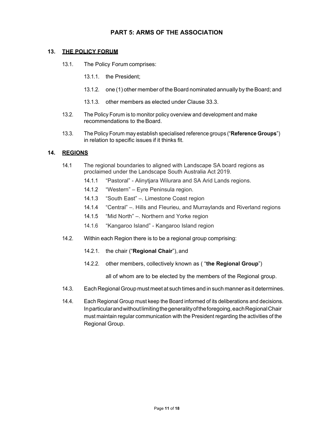#### **PART 5: ARMS OF THE ASSOCIATION**

#### **13. THE POLICY FORUM**

- 13.1. The Policy Forum comprises:
	- 13.1.1. the President;
	- 13.1.2. one (1) other member of the Board nominated annually by the Board; and
	- 13.1.3. other members as elected under Clause 33.3.
- 13.2. The Policy Forum is to monitor policy overview and development and make recommendations to the Board.
- 13.3. The Policy Forum may establish specialised reference groups ("**Reference Groups**") in relation to specific issues if it thinks fit.

#### **14. REGIONS**

- 14.1 The regional boundaries to aligned with Landscape SA board regions as proclaimed under the Landscape South Australia Act 2019.
	- 14.1.1 "Pastoral" Alinytjara Wilurara and SA Arid Lands regions.
	- 14.1.2 "Western" Eyre Peninsula region.
	- 14.1.3 "South East" –. Limestone Coast region
	- 14.1.4 "Central" –. Hills and Fleurieu, and Murraylands and Riverland regions
	- 14.1.5 "Mid North" –. Northern and Yorke region
	- 14.1.6 "Kangaroo Island" Kangaroo Island region
- 14.2. Within each Region there is to be a regional group comprising:
	- 14.2.1. the chair ("**Regional Chair**"), and
	- 14.2.2. other members, collectively known as ( "**the Regional Group**")

all of whom are to be elected by the members of the Regional group.

- 14.3. Each Regional Group must meet at such times and in such manner as it determines.
- 14.4. Each Regional Group must keep the Board informed of its deliberations and decisions. In particular and without limiting the generality of the foregoing, each Regional Chair must maintain regular communication with the President regarding the activities of the Regional Group.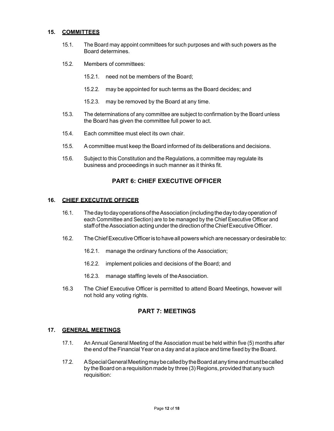#### **15. COMMITTEES**

- 15.1. The Board may appoint committees for such purposes and with such powers as the Board determines.
- 15.2. Members of committees:
	- 15.2.1. need not be members of the Board;
	- 15.2.2. may be appointed for such terms as the Board decides; and
	- 15.2.3. may be removed by the Board at any time.
- 15.3. The determinations of any committee are subject to confirmation by the Board unless the Board has given the committee full power to act.
- 15.4. Each committee must elect its own chair.
- 15.5. A committee must keep the Board informed of its deliberations and decisions.
- 15.6. Subject to this Constitution and the Regulations, a committee may regulate its business and proceedings in such manner as it thinks fit.

#### **PART 6: CHIEF EXECUTIVE OFFICER**

#### **16. CHIEF EXECUTIVE OFFICER**

- 16.1. The day to day operations of the Association (including the day to day operation of each Committee and Section) are to be managed by the Chief Executive Officer and staff of the Association acting under the direction of the Chief Executive Officer.
- 16.2. The Chief Executive Officer is to have all powers which are necessary or desirable to:
	- 16.2.1. manage the ordinary functions of the Association;
	- 16.2.2. implement policies and decisions of the Board; and
	- 16.2.3. manage staffing levels of the Association.
- 16.3 The Chief Executive Officer is permitted to attend Board Meetings, however will not hold any voting rights.

#### **PART 7: MEETINGS**

#### **17. GENERAL MEETINGS**

- 17.1. An Annual General Meeting of the Association must be held within five (5) months after the end of the Financial Year on a day and at a place and time fixed by the Board.
- 17.2. A Special General Meeting may be called by the Board at any time and must be called by the Board on a requisition made by three (3) Regions, provided that any such requisition: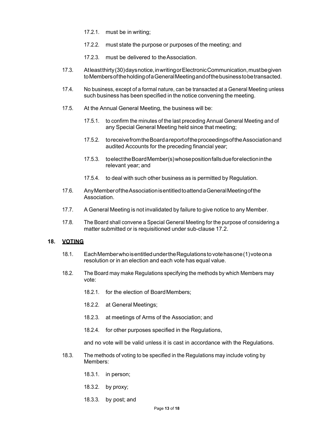- 17.2.1. must be in writing;
- 17.2.2. must state the purpose or purposes of the meeting; and
- 17.2.3. must be delivered to the Association.
- 17.3. At least thirty (30) days notice, in writing or Electronic Communication, must be given to Members of the holding of a General Meeting and of the business to be transacted.
- 17.4. No business, except of a formal nature, can be transacted at a General Meeting unless such business has been specified in the notice convening the meeting.
- 17.5. At the Annual General Meeting, the business will be:
	- 17.5.1. to confirm the minutes of the last preceding Annual General Meeting and of any Special General Meeting held since that meeting;
	- 17.5.2. to receive from the Board a report of the proceedings of the Association and audited Accounts for the preceding financial year;
	- 17.5.3. to elect the Board Member(s) whose position falls due for election in the relevant year; and
	- 17.5.4. to deal with such other business as is permitted by Regulation.
- 17.6. Any Member of the Association is entitled to attend a General Meeting of the Association.
- 17.7. A General Meeting is not invalidated by failure to give notice to any Member.
- 17.8. The Board shall convene a Special General Meeting for the purpose of considering a matter submitted or is requisitioned under sub-clause 17.2.

#### **18. VOTING**

- 18.1. Each Member who is entitled under the Regulations to vote has one (1) vote on a resolution or in an election and each vote has equal value.
- 18.2. The Board may make Regulations specifying the methods by which Members may vote:
	- 18.2.1. for the election of Board Members;
	- 18.2.2. at General Meetings;
	- 18.2.3. at meetings of Arms of the Association; and
	- 18.2.4. for other purposes specified in the Regulations,

and no vote will be valid unless it is cast in accordance with the Regulations.

- 18.3. The methods of voting to be specified in the Regulations may include voting by Members:
	- 18.3.1. in person;
	- 18.3.2. by proxy;
	- 18.3.3. by post; and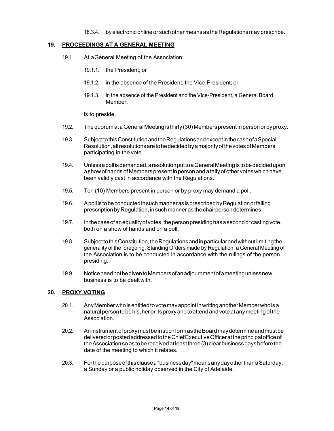18.3.4. by electronic online or such other means as the Regulations may prescribe.

#### **19. PROCEEDINGS AT A GENERAL MEETING**

- 19.1. At a General Meeting of the Association:
	- 19.1.1. the President; or
	- 19.1.2. in the absence of the President, the Vice-President; or
	- 19.1.3. in the absence of the President and the Vice-President, a General Board Member,

is to preside.

- 19.2. The quorum at a General Meeting is thirty (30) Members present in person or by proxy.
- 19.3. Subject to this Constitution and the Regulations and except in the case of a Special Resolution, all resolutions are to be decided by a majority of the votes of Members participating in the vote.
- 19.4. Unless a poll is demanded, a resolution put to a General Meeting is to be decided upon a show of hands of Members present in person and a tally of other votes which have been validly cast in accordance with the Regulations.
- 19.5. Ten (10) Members present in person or by proxy may demand a poll.
- 19.6. A poll is to be conducted in such manner as is prescribed by Regulation or failing prescription by Regulation, in such manner as the chairperson determines.
- 19.7. In the case of an equality of votes, the person presiding has a second or casting vote, both on a show of hands and on a poll.
- 19.8. Subject to this Constitution, the Regulations and in particular and without limiting the generality of the foregoing, Standing Orders made by Regulation, a General Meeting of the Association is to be conducted in accordance with the rulings of the person presiding.
- 19.9. Notice need not be given to Members of an adjournment of a meeting unless new business is to be dealt with.

#### **20. PROXY VOTING**

- 20.1. Any Member who is entitled to vote may appoint in writing another Member who is a natural person to be his, her or its proxy and to attend and vote at any meeting of the **Association**
- 20.2. An instrument of proxy must be in such form as the Board may determine and must be delivered or posted addressed to the Chief Executive Officer at the principal office of the Association so as to be received at least three (3) clear business days before the date of the meeting to which it relates.
- 20.3. For the purpose of this clause a "business day" means any day other than a Saturday, a Sunday or a public holiday observed in the City of Adelaide.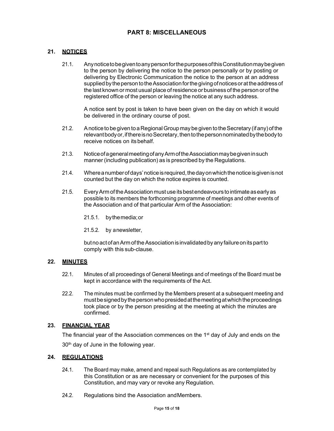#### **PART 8: MISCELLANEOUS**

#### **21. NOTICES**

21.1. Any notice to be given to any person for the purposes of this Constitution may be given to the person by delivering the notice to the person personally or by posting or delivering by Electronic Communication the notice to the person at an address supplied by the person to the Association for the giving of notices or at the address of the last known or most usual place of residence or business of the person or of the registered office of the person or leaving the notice at any such address.

A notice sent by post is taken to have been given on the day on which it would be delivered in the ordinary course of post.

- 21.2. A notice to be given to a Regional Group may be given to the Secretary (if any) of the relevant body or, if there is no Secretary, then to the person nominated by the body to receive notices on its behalf.
- 21.3. Notice of a general meeting of any Arm of the Association may be given in such manner (including publication) as is prescribed by the Regulations.
- 21.4. Where a number of days' notice is required, the day on which the notice is given is not counted but the day on which the notice expires is counted.
- 21.5. Every Arm of the Association must use its best endeavours to intimate as early as possible to its members the forthcoming programme of meetings and other events of the Association and of that particular Arm of the Association:
	- 21.5.1. by the media; or
	- 21.5.2. by a newsletter,

but no act of an Arm of the Association is invalidated by any failure on its part to comply with this sub-clause.

#### **22. MINUTES**

- 22.1. Minutes of all proceedings of General Meetings and of meetings of the Board must be kept in accordance with the requirements of the Act.
- 22.2. The minutes must be confirmed by the Members present at a subsequent meeting and must be signed by the person who presided at the meeting at which the proceedings took place or by the person presiding at the meeting at which the minutes are confirmed.

#### **23. FINANCIAL YEAR**

The financial year of the Association commences on the 1<sup>st</sup> day of July and ends on the 30<sup>th</sup> day of June in the following year.

#### **24. REGULATIONS**

- 24.1. The Board may make, amend and repeal such Regulations as are contemplated by this Constitution or as are necessary or convenient for the purposes of this Constitution, and may vary or revoke any Regulation.
- 24.2. Regulations bind the Association and Members.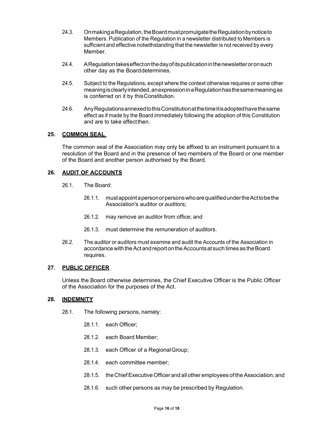- 24.3. On making a Regulation, the Board must promulgate the Regulation by notice to Members. Publication of the Regulation in a newsletter distributed to Members is sufficient and effective notwithstanding that the newsletter is not received by every Member.
- 24.4. A Regulation takes effect on the day of its publication in the newsletter or on such other day as the Board determines.
- 24.5. Subject to the Regulations, except where the context otherwise requires or some other meaning is clearly intended, an expression in a Regulation has the same meaning as is conferred on it by this Constitution.
- 24.6. Any Regulations annexed to this Constitution at the time it is adopted have the same effect as if made by the Board immediately following the adoption of this Constitution and are to take effect then.

#### **25. COMMON SEAL**

The common seal of the Association may only be affixed to an instrument pursuant to a resolution of the Board and in the presence of two members of the Board or one member of the Board and another person authorised by the Board.

#### **26. AUDIT OF ACCOUNTS**

- 26.1. The Board:
	- 26.1.1. must appoint a person or persons who are qualified under the Act to be the Association's auditor or auditors;
	- 26.1.2. may remove an auditor from office; and
	- 26.1.3. must determine the remuneration of auditors.
- 26.2. The auditor or auditors must examine and audit the Accounts of the Association in accordance with the Act and report on the Accounts at such times as the Board requires.

#### **27. PUBLIC OFFICER**

Unless the Board otherwise determines, the Chief Executive Officer is the Public Officer of the Association for the purposes of the Act.

#### 28. INDEMNITY

- 28.1. The following persons, namely:
	- 28.1.1. each Officer;
	- 28.1.2. each Board Member;
	- 28.1.3. each Officer of a Regional Group;
	- 28.1.4. each committee member;
	- 28.1.5. the Chief Executive Officer and all other employees of the Association; and
	- 28.1.6. such other persons as may be prescribed by Regulation.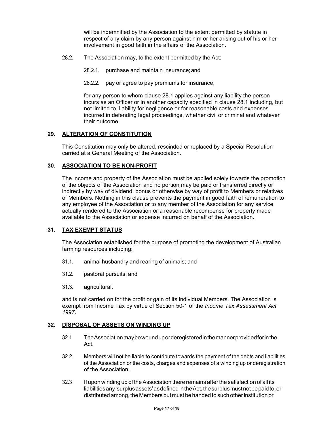will be indemnified by the Association to the extent permitted by statute in respect of any claim by any person against him or her arising out of his or her involvement in good faith in the affairs of the Association.

- 28.2. The Association may, to the extent permitted by the Act:
	- 28.2.1. purchase and maintain insurance; and
	- 28.2.2. pay or agree to pay premiums for insurance,

for any person to whom clause 28.1 applies against any liability the person incurs as an Officer or in another capacity specified in clause 28.1 including, but not limited to, liability for negligence or for reasonable costs and expenses incurred in defending legal proceedings, whether civil or criminal and whatever their outcome.

#### **29. ALTERATION OF CONSTITUTION**

This Constitution may only be altered, rescinded or replaced by a Special Resolution carried at a General Meeting of the Association.

#### **30. ASSOCIATION TO BE NON-PROFIT**

The income and property of the Association must be applied solely towards the promotion of the objects of the Association and no portion may be paid or transferred directly or indirectly by way of dividend, bonus or otherwise by way of profit to Members or relatives of Members. Nothing in this clause prevents the payment in good faith of remuneration to any employee of the Association or to any member of the Association for any service actually rendered to the Association or a reasonable recompense for property made available to the Association or expense incurred on behalf of the Association.

#### **31. TAX EXEMPT STATUS**

The Association established for the purpose of promoting the development of Australian farming resources including:

- 31.1. animal husbandry and rearing of animals; and
- 31.2. pastoral pursuits; and
- 31.3. agricultural,

and is not carried on for the profit or gain of its individual Members. The Association is exempt from Income Tax by virtue of Section 50-1 of the *Income Tax Assessment Act 1997*.

#### **32. DISPOSAL OF ASSETS ON WINDING UP**

- 32.1 The Association may be wound up or deregistered in the manner provided for in the Act.
- 32.2 Members will not be liable to contribute towards the payment of the debts and liabilities of the Association or the costs, charges and expenses of a winding up or deregistration of the Association.
- 32.3 If upon winding up of the Association there remains after the satisfaction of all its liabilities any 'surplus assets' as defined in the Act, the surplus must not be paid to, or distributed among, the Members but must be handed to such other institution or